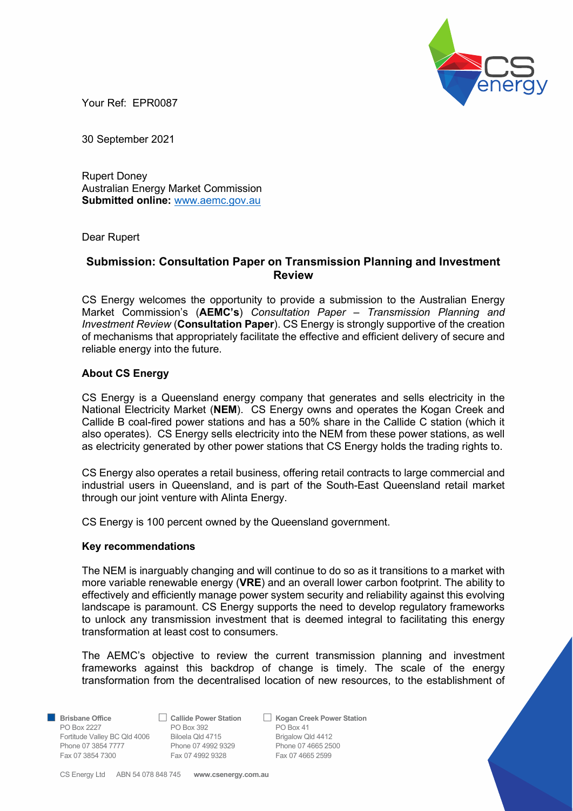

Your Ref: EPR0087

30 September 2021

Rupert Doney Australian Energy Market Commission Submitted online: www.aemc.gov.au

Dear Rupert

# Submission: Consultation Paper on Transmission Planning and Investment Review

CS Energy welcomes the opportunity to provide a submission to the Australian Energy Market Commission's (AEMC's) Consultation Paper - Transmission Planning and Investment Review (Consultation Paper). CS Energy is strongly supportive of the creation of mechanisms that appropriately facilitate the effective and efficient delivery of secure and reliable energy into the future.

## About CS Energy

CS Energy is a Queensland energy company that generates and sells electricity in the National Electricity Market (NEM). CS Energy owns and operates the Kogan Creek and Callide B coal-fired power stations and has a 50% share in the Callide C station (which it also operates). CS Energy sells electricity into the NEM from these power stations, as well as electricity generated by other power stations that CS Energy holds the trading rights to.

CS Energy also operates a retail business, offering retail contracts to large commercial and industrial users in Queensland, and is part of the South-East Queensland retail market through our joint venture with Alinta Energy.

CS Energy is 100 percent owned by the Queensland government.

#### Key recommendations

The NEM is inarguably changing and will continue to do so as it transitions to a market with more variable renewable energy (VRE) and an overall lower carbon footprint. The ability to effectively and efficiently manage power system security and reliability against this evolving landscape is paramount. CS Energy supports the need to develop regulatory frameworks to unlock any transmission investment that is deemed integral to facilitating this energy transformation at least cost to consumers.

The AEMC's objective to review the current transmission planning and investment frameworks against this backdrop of change is timely. The scale of the energy transformation from the decentralised location of new resources, to the establishment of

PO Box 2227 PO Box 392 Fortitude Valley BC Qld 4006 Biloela Qld 4715 Brigalow Qld 4412 Phone 07 3854 7777 Phone 07 4992 9329 Phone 07 4665 2500<br>
Fax 07 3854 7300 Fax 07 4992 9328 Fax 07 4665 2599 Fax 07 3854 7300 Fax 07 4992 9328

■ Brisbane Office <br>
PO Box 2227 <br>
PO Box 392 <br>
PO Box 41

CS Energy Ltd ABN 54 078 848 745 www.csenergy.com.au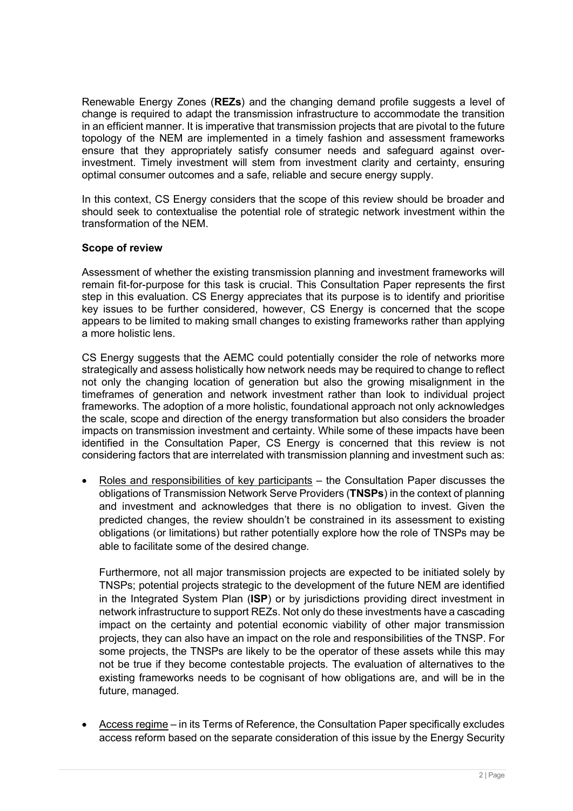Renewable Energy Zones (REZs) and the changing demand profile suggests a level of change is required to adapt the transmission infrastructure to accommodate the transition in an efficient manner. It is imperative that transmission projects that are pivotal to the future topology of the NEM are implemented in a timely fashion and assessment frameworks ensure that they appropriately satisfy consumer needs and safeguard against overinvestment. Timely investment will stem from investment clarity and certainty, ensuring optimal consumer outcomes and a safe, reliable and secure energy supply.

In this context, CS Energy considers that the scope of this review should be broader and should seek to contextualise the potential role of strategic network investment within the transformation of the NEM.

# Scope of review

Assessment of whether the existing transmission planning and investment frameworks will remain fit-for-purpose for this task is crucial. This Consultation Paper represents the first step in this evaluation. CS Energy appreciates that its purpose is to identify and prioritise key issues to be further considered, however, CS Energy is concerned that the scope appears to be limited to making small changes to existing frameworks rather than applying a more holistic lens.

CS Energy suggests that the AEMC could potentially consider the role of networks more strategically and assess holistically how network needs may be required to change to reflect not only the changing location of generation but also the growing misalignment in the timeframes of generation and network investment rather than look to individual project frameworks. The adoption of a more holistic, foundational approach not only acknowledges the scale, scope and direction of the energy transformation but also considers the broader impacts on transmission investment and certainty. While some of these impacts have been identified in the Consultation Paper, CS Energy is concerned that this review is not considering factors that are interrelated with transmission planning and investment such as:

 Roles and responsibilities of key participants – the Consultation Paper discusses the obligations of Transmission Network Serve Providers (TNSPs) in the context of planning and investment and acknowledges that there is no obligation to invest. Given the predicted changes, the review shouldn't be constrained in its assessment to existing obligations (or limitations) but rather potentially explore how the role of TNSPs may be able to facilitate some of the desired change.

Furthermore, not all major transmission projects are expected to be initiated solely by TNSPs; potential projects strategic to the development of the future NEM are identified in the Integrated System Plan (ISP) or by jurisdictions providing direct investment in network infrastructure to support REZs. Not only do these investments have a cascading impact on the certainty and potential economic viability of other major transmission projects, they can also have an impact on the role and responsibilities of the TNSP. For some projects, the TNSPs are likely to be the operator of these assets while this may not be true if they become contestable projects. The evaluation of alternatives to the existing frameworks needs to be cognisant of how obligations are, and will be in the future, managed.

 Access regime – in its Terms of Reference, the Consultation Paper specifically excludes access reform based on the separate consideration of this issue by the Energy Security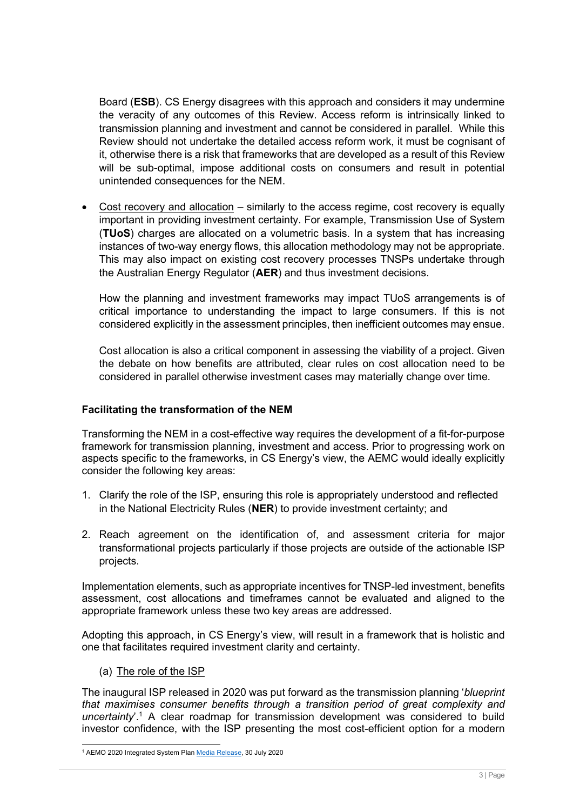Board (ESB). CS Energy disagrees with this approach and considers it may undermine the veracity of any outcomes of this Review. Access reform is intrinsically linked to transmission planning and investment and cannot be considered in parallel. While this Review should not undertake the detailed access reform work, it must be cognisant of it, otherwise there is a risk that frameworks that are developed as a result of this Review will be sub-optimal, impose additional costs on consumers and result in potential unintended consequences for the NEM.

 Cost recovery and allocation – similarly to the access regime, cost recovery is equally important in providing investment certainty. For example, Transmission Use of System (TUoS) charges are allocated on a volumetric basis. In a system that has increasing instances of two-way energy flows, this allocation methodology may not be appropriate. This may also impact on existing cost recovery processes TNSPs undertake through the Australian Energy Regulator (AER) and thus investment decisions.

How the planning and investment frameworks may impact TUoS arrangements is of critical importance to understanding the impact to large consumers. If this is not considered explicitly in the assessment principles, then inefficient outcomes may ensue.

Cost allocation is also a critical component in assessing the viability of a project. Given the debate on how benefits are attributed, clear rules on cost allocation need to be considered in parallel otherwise investment cases may materially change over time.

## Facilitating the transformation of the NEM

Transforming the NEM in a cost-effective way requires the development of a fit-for-purpose framework for transmission planning, investment and access. Prior to progressing work on aspects specific to the frameworks, in CS Energy's view, the AEMC would ideally explicitly consider the following key areas:

- 1. Clarify the role of the ISP, ensuring this role is appropriately understood and reflected in the National Electricity Rules (NER) to provide investment certainty; and
- 2. Reach agreement on the identification of, and assessment criteria for major transformational projects particularly if those projects are outside of the actionable ISP projects.

Implementation elements, such as appropriate incentives for TNSP-led investment, benefits assessment, cost allocations and timeframes cannot be evaluated and aligned to the appropriate framework unless these two key areas are addressed.

Adopting this approach, in CS Energy's view, will result in a framework that is holistic and one that facilitates required investment clarity and certainty.

(a) The role of the ISP

The inaugural ISP released in 2020 was put forward as the transmission planning '*blueprint* that maximises consumer benefits through a transition period of great complexity and uncertainty'.<sup>1</sup> A clear roadmap for transmission development was considered to build investor confidence, with the ISP presenting the most cost-efficient option for a modern

<sup>&</sup>lt;sup>1</sup> AEMO 2020 Integrated System Plan Media Release, 30 July 2020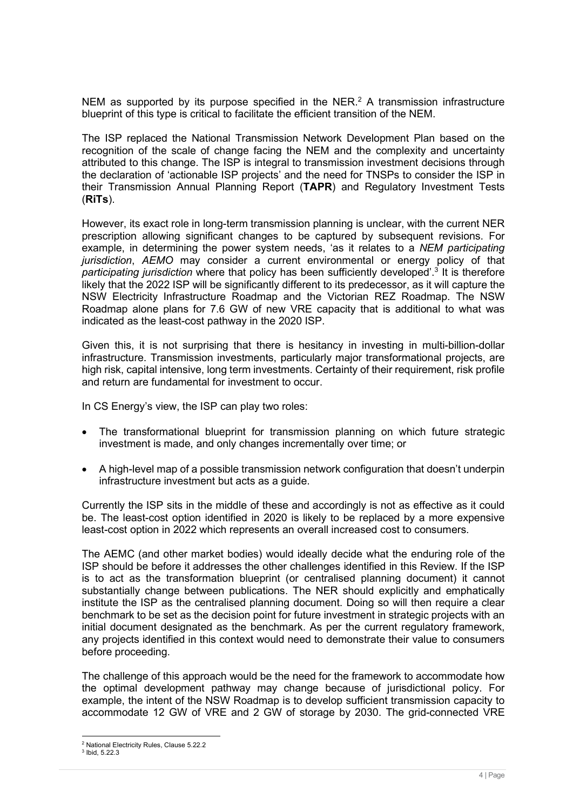NEM as supported by its purpose specified in the NER. $<sup>2</sup>$  A transmission infrastructure</sup> blueprint of this type is critical to facilitate the efficient transition of the NEM.

The ISP replaced the National Transmission Network Development Plan based on the recognition of the scale of change facing the NEM and the complexity and uncertainty attributed to this change. The ISP is integral to transmission investment decisions through the declaration of 'actionable ISP projects' and the need for TNSPs to consider the ISP in their Transmission Annual Planning Report (TAPR) and Regulatory Investment Tests (RiTs).

However, its exact role in long-term transmission planning is unclear, with the current NER prescription allowing significant changes to be captured by subsequent revisions. For example, in determining the power system needs, 'as it relates to a NEM participating jurisdiction, AEMO may consider a current environmental or energy policy of that participating jurisdiction where that policy has been sufficiently developed'.<sup>3</sup> It is therefore likely that the 2022 ISP will be significantly different to its predecessor, as it will capture the NSW Electricity Infrastructure Roadmap and the Victorian REZ Roadmap. The NSW Roadmap alone plans for 7.6 GW of new VRE capacity that is additional to what was indicated as the least-cost pathway in the 2020 ISP.

Given this, it is not surprising that there is hesitancy in investing in multi-billion-dollar infrastructure. Transmission investments, particularly major transformational projects, are high risk, capital intensive, long term investments. Certainty of their requirement, risk profile and return are fundamental for investment to occur.

In CS Energy's view, the ISP can play two roles:

- The transformational blueprint for transmission planning on which future strategic investment is made, and only changes incrementally over time; or
- A high-level map of a possible transmission network configuration that doesn't underpin infrastructure investment but acts as a guide.

Currently the ISP sits in the middle of these and accordingly is not as effective as it could be. The least-cost option identified in 2020 is likely to be replaced by a more expensive least-cost option in 2022 which represents an overall increased cost to consumers.

The AEMC (and other market bodies) would ideally decide what the enduring role of the ISP should be before it addresses the other challenges identified in this Review. If the ISP is to act as the transformation blueprint (or centralised planning document) it cannot substantially change between publications. The NER should explicitly and emphatically institute the ISP as the centralised planning document. Doing so will then require a clear benchmark to be set as the decision point for future investment in strategic projects with an initial document designated as the benchmark. As per the current regulatory framework, any projects identified in this context would need to demonstrate their value to consumers before proceeding.

The challenge of this approach would be the need for the framework to accommodate how the optimal development pathway may change because of jurisdictional policy. For example, the intent of the NSW Roadmap is to develop sufficient transmission capacity to accommodate 12 GW of VRE and 2 GW of storage by 2030. The grid-connected VRE

<sup>2</sup> National Electricity Rules, Clause 5.22.2

<sup>3</sup> Ibid, 5.22.3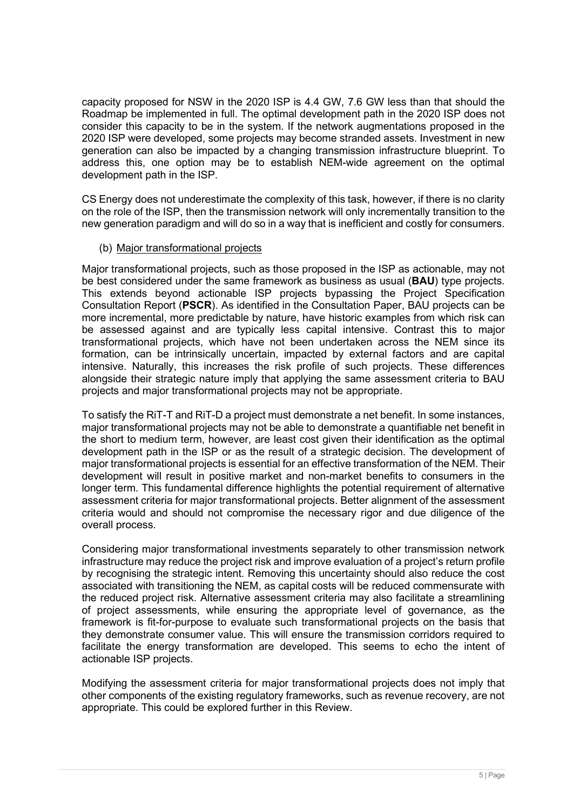capacity proposed for NSW in the 2020 ISP is 4.4 GW, 7.6 GW less than that should the Roadmap be implemented in full. The optimal development path in the 2020 ISP does not consider this capacity to be in the system. If the network augmentations proposed in the 2020 ISP were developed, some projects may become stranded assets. Investment in new generation can also be impacted by a changing transmission infrastructure blueprint. To address this, one option may be to establish NEM-wide agreement on the optimal development path in the ISP.

CS Energy does not underestimate the complexity of this task, however, if there is no clarity on the role of the ISP, then the transmission network will only incrementally transition to the new generation paradigm and will do so in a way that is inefficient and costly for consumers.

## (b) Major transformational projects

Major transformational projects, such as those proposed in the ISP as actionable, may not be best considered under the same framework as business as usual (BAU) type projects. This extends beyond actionable ISP projects bypassing the Project Specification Consultation Report (PSCR). As identified in the Consultation Paper, BAU projects can be more incremental, more predictable by nature, have historic examples from which risk can be assessed against and are typically less capital intensive. Contrast this to major transformational projects, which have not been undertaken across the NEM since its formation, can be intrinsically uncertain, impacted by external factors and are capital intensive. Naturally, this increases the risk profile of such projects. These differences alongside their strategic nature imply that applying the same assessment criteria to BAU projects and major transformational projects may not be appropriate.

To satisfy the RiT-T and RiT-D a project must demonstrate a net benefit. In some instances, major transformational projects may not be able to demonstrate a quantifiable net benefit in the short to medium term, however, are least cost given their identification as the optimal development path in the ISP or as the result of a strategic decision. The development of major transformational projects is essential for an effective transformation of the NEM. Their development will result in positive market and non-market benefits to consumers in the longer term. This fundamental difference highlights the potential requirement of alternative assessment criteria for major transformational projects. Better alignment of the assessment criteria would and should not compromise the necessary rigor and due diligence of the overall process.

Considering major transformational investments separately to other transmission network infrastructure may reduce the project risk and improve evaluation of a project's return profile by recognising the strategic intent. Removing this uncertainty should also reduce the cost associated with transitioning the NEM, as capital costs will be reduced commensurate with the reduced project risk. Alternative assessment criteria may also facilitate a streamlining of project assessments, while ensuring the appropriate level of governance, as the framework is fit-for-purpose to evaluate such transformational projects on the basis that they demonstrate consumer value. This will ensure the transmission corridors required to facilitate the energy transformation are developed. This seems to echo the intent of actionable ISP projects.

Modifying the assessment criteria for major transformational projects does not imply that other components of the existing regulatory frameworks, such as revenue recovery, are not appropriate. This could be explored further in this Review.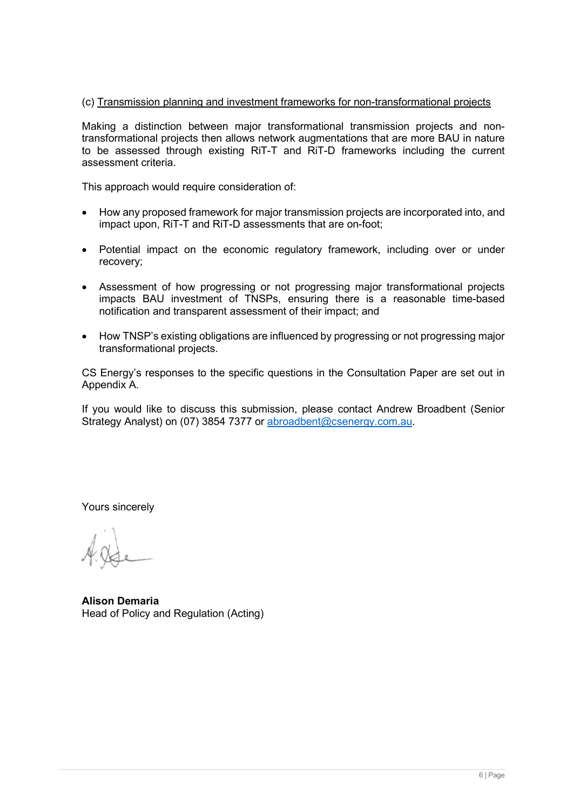# (c) Transmission planning and investment frameworks for non-transformational projects

Making a distinction between major transformational transmission projects and nontransformational projects then allows network augmentations that are more BAU in nature to be assessed through existing RiT-T and RiT-D frameworks including the current assessment criteria.

This approach would require consideration of:

- How any proposed framework for major transmission projects are incorporated into, and impact upon, RiT-T and RiT-D assessments that are on-foot;
- Potential impact on the economic regulatory framework, including over or under recovery;
- Assessment of how progressing or not progressing major transformational projects impacts BAU investment of TNSPs, ensuring there is a reasonable time-based notification and transparent assessment of their impact; and
- How TNSP's existing obligations are influenced by progressing or not progressing major transformational projects.

CS Energy's responses to the specific questions in the Consultation Paper are set out in Appendix A.

If you would like to discuss this submission, please contact Andrew Broadbent (Senior Strategy Analyst) on (07) 3854 7377 or abroadbent@csenergy.com.au.

Yours sincerely

Alison Demaria Head of Policy and Regulation (Acting)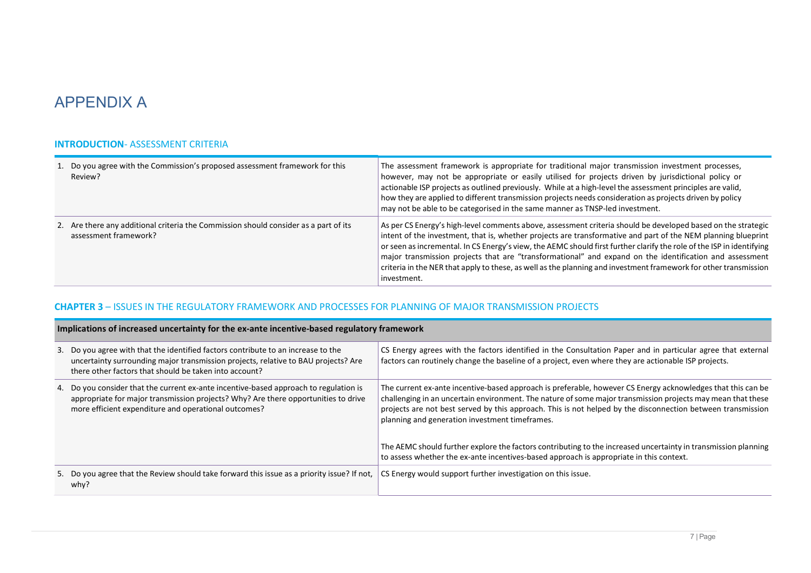# APPENDIX A

#### INTRODUCTION- ASSESSMENT CRITERIA

| 1. Do you agree with the Commission's proposed assessment framework for this<br>Review?                       | The assessment framework is appropriate for traditional major transmission investment processes,<br>however, may not be appropriate or easily utilised for projects driven by jurisdictional policy or<br>actionable ISP projects as outlined previously. While at a high-level the assessment principles are valid,<br>how they are applied to different transmission projects needs consideration as projects driven by policy<br>may not be able to be categorised in the same manner as TNSP-led investment.                                                                                     |
|---------------------------------------------------------------------------------------------------------------|------------------------------------------------------------------------------------------------------------------------------------------------------------------------------------------------------------------------------------------------------------------------------------------------------------------------------------------------------------------------------------------------------------------------------------------------------------------------------------------------------------------------------------------------------------------------------------------------------|
| 2. Are there any additional criteria the Commission should consider as a part of its<br>assessment framework? | As per CS Energy's high-level comments above, assessment criteria should be developed based on the strategic<br>intent of the investment, that is, whether projects are transformative and part of the NEM planning blueprint<br>or seen as incremental. In CS Energy's view, the AEMC should first further clarify the role of the ISP in identifying<br>major transmission projects that are "transformational" and expand on the identification and assessment<br>criteria in the NER that apply to these, as well as the planning and investment framework for other transmission<br>investment. |

#### CHAPTER 3 – ISSUES IN THE REGULATORY FRAMEWORK AND PROCESSES FOR PLANNING OF MAJOR TRANSMISSION PROJECTS

| Implications of increased uncertainty for the ex-ante incentive-based regulatory framework |                                                                                                                                                                                                                                     |                                                                                                                                                                                                                                                                                                                                                                                             |
|--------------------------------------------------------------------------------------------|-------------------------------------------------------------------------------------------------------------------------------------------------------------------------------------------------------------------------------------|---------------------------------------------------------------------------------------------------------------------------------------------------------------------------------------------------------------------------------------------------------------------------------------------------------------------------------------------------------------------------------------------|
|                                                                                            | 3. Do you agree with that the identified factors contribute to an increase to the<br>uncertainty surrounding major transmission projects, relative to BAU projects? Are<br>there other factors that should be taken into account?   | CS Energy agrees with the factors identified in the Consultation Paper and in particular agree that external<br>factors can routinely change the baseline of a project, even where they are actionable ISP projects.                                                                                                                                                                        |
|                                                                                            | 4. Do you consider that the current ex-ante incentive-based approach to regulation is<br>appropriate for major transmission projects? Why? Are there opportunities to drive<br>more efficient expenditure and operational outcomes? | The current ex-ante incentive-based approach is preferable, however CS Energy acknowledges that this can be<br>challenging in an uncertain environment. The nature of some major transmission projects may mean that these<br>projects are not best served by this approach. This is not helped by the disconnection between transmission<br>planning and generation investment timeframes. |
|                                                                                            |                                                                                                                                                                                                                                     | The AEMC should further explore the factors contributing to the increased uncertainty in transmission planning<br>to assess whether the ex-ante incentives-based approach is appropriate in this context.                                                                                                                                                                                   |
|                                                                                            | 5. Do you agree that the Review should take forward this issue as a priority issue? If not,<br>why?                                                                                                                                 | CS Energy would support further investigation on this issue.                                                                                                                                                                                                                                                                                                                                |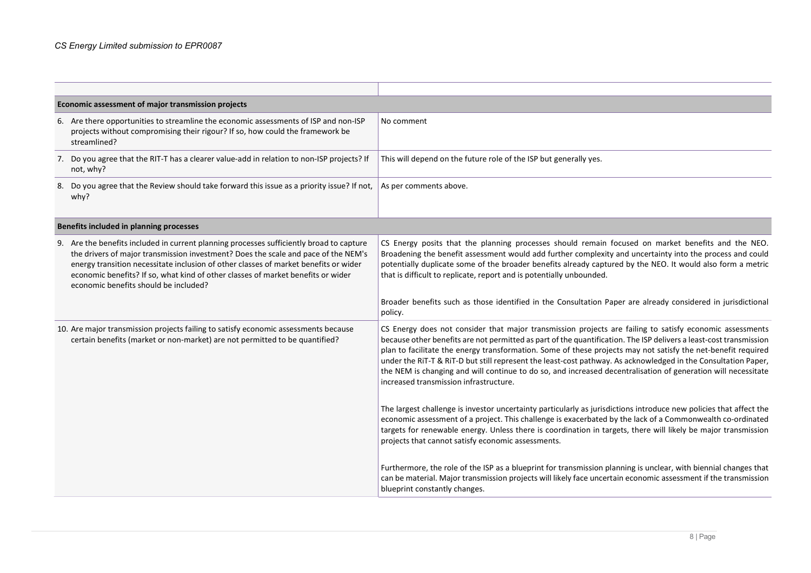| Economic assessment of major transmission projects |                                                                                                                                                                                                                                                                                                                                                                                                     |                                                                                                                                                                                                                                                                                                                                                                                                                                                                                                                                                                                                                              |
|----------------------------------------------------|-----------------------------------------------------------------------------------------------------------------------------------------------------------------------------------------------------------------------------------------------------------------------------------------------------------------------------------------------------------------------------------------------------|------------------------------------------------------------------------------------------------------------------------------------------------------------------------------------------------------------------------------------------------------------------------------------------------------------------------------------------------------------------------------------------------------------------------------------------------------------------------------------------------------------------------------------------------------------------------------------------------------------------------------|
|                                                    | 6. Are there opportunities to streamline the economic assessments of ISP and non-ISP<br>projects without compromising their rigour? If so, how could the framework be<br>streamlined?                                                                                                                                                                                                               | No comment                                                                                                                                                                                                                                                                                                                                                                                                                                                                                                                                                                                                                   |
|                                                    | 7. Do you agree that the RIT-T has a clearer value-add in relation to non-ISP projects? If<br>not, why?                                                                                                                                                                                                                                                                                             | This will depend on the future role of the ISP but generally yes.                                                                                                                                                                                                                                                                                                                                                                                                                                                                                                                                                            |
| 8.                                                 | Do you agree that the Review should take forward this issue as a priority issue? If not,<br>why?                                                                                                                                                                                                                                                                                                    | As per comments above.                                                                                                                                                                                                                                                                                                                                                                                                                                                                                                                                                                                                       |
|                                                    | Benefits included in planning processes                                                                                                                                                                                                                                                                                                                                                             |                                                                                                                                                                                                                                                                                                                                                                                                                                                                                                                                                                                                                              |
|                                                    | 9. Are the benefits included in current planning processes sufficiently broad to capture<br>the drivers of major transmission investment? Does the scale and pace of the NEM's<br>energy transition necessitate inclusion of other classes of market benefits or wider<br>economic benefits? If so, what kind of other classes of market benefits or wider<br>economic benefits should be included? | CS Energy posits that the planning processes should remain focused on market benefits and the NEO.<br>Broadening the benefit assessment would add further complexity and uncertainty into the process and could<br>potentially duplicate some of the broader benefits already captured by the NEO. It would also form a metric<br>that is difficult to replicate, report and is potentially unbounded.                                                                                                                                                                                                                       |
|                                                    |                                                                                                                                                                                                                                                                                                                                                                                                     | Broader benefits such as those identified in the Consultation Paper are already considered in jurisdictional<br>policy.                                                                                                                                                                                                                                                                                                                                                                                                                                                                                                      |
|                                                    | 10. Are major transmission projects failing to satisfy economic assessments because<br>certain benefits (market or non-market) are not permitted to be quantified?                                                                                                                                                                                                                                  | CS Energy does not consider that major transmission projects are failing to satisfy economic assessments<br>because other benefits are not permitted as part of the quantification. The ISP delivers a least-cost transmission<br>plan to facilitate the energy transformation. Some of these projects may not satisfy the net-benefit required<br>under the RiT-T & RiT-D but still represent the least-cost pathway. As acknowledged in the Consultation Paper,<br>the NEM is changing and will continue to do so, and increased decentralisation of generation will necessitate<br>increased transmission infrastructure. |
|                                                    |                                                                                                                                                                                                                                                                                                                                                                                                     | The largest challenge is investor uncertainty particularly as jurisdictions introduce new policies that affect the<br>economic assessment of a project. This challenge is exacerbated by the lack of a Commonwealth co-ordinated<br>targets for renewable energy. Unless there is coordination in targets, there will likely be major transmission<br>projects that cannot satisfy economic assessments.                                                                                                                                                                                                                     |
|                                                    |                                                                                                                                                                                                                                                                                                                                                                                                     | Furthermore, the role of the ISP as a blueprint for transmission planning is unclear, with biennial changes that<br>can be material. Major transmission projects will likely face uncertain economic assessment if the transmission<br>blueprint constantly changes.                                                                                                                                                                                                                                                                                                                                                         |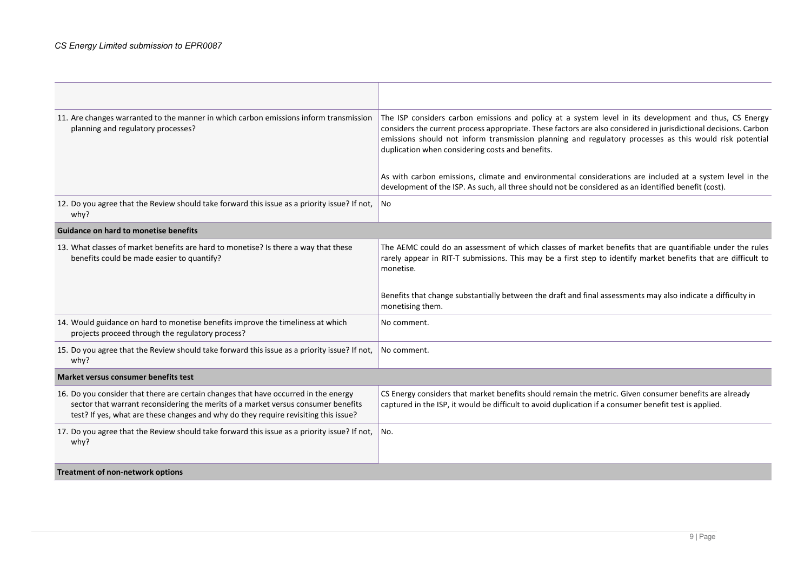| 11. Are changes warranted to the manner in which carbon emissions inform transmission<br>planning and regulatory processes?                                                                                                                                     | The ISP considers carbon emissions and policy at a system level in its development and thus, CS Energy<br>considers the current process appropriate. These factors are also considered in jurisdictional decisions. Carbon<br>emissions should not inform transmission planning and regulatory processes as this would risk potential<br>duplication when considering costs and benefits. |
|-----------------------------------------------------------------------------------------------------------------------------------------------------------------------------------------------------------------------------------------------------------------|-------------------------------------------------------------------------------------------------------------------------------------------------------------------------------------------------------------------------------------------------------------------------------------------------------------------------------------------------------------------------------------------|
|                                                                                                                                                                                                                                                                 | As with carbon emissions, climate and environmental considerations are included at a system level in the<br>development of the ISP. As such, all three should not be considered as an identified benefit (cost).                                                                                                                                                                          |
| 12. Do you agree that the Review should take forward this issue as a priority issue? If not,<br>why?                                                                                                                                                            | No                                                                                                                                                                                                                                                                                                                                                                                        |
| <b>Guidance on hard to monetise benefits</b>                                                                                                                                                                                                                    |                                                                                                                                                                                                                                                                                                                                                                                           |
| 13. What classes of market benefits are hard to monetise? Is there a way that these<br>benefits could be made easier to quantify?                                                                                                                               | The AEMC could do an assessment of which classes of market benefits that are quantifiable under the rules<br>rarely appear in RIT-T submissions. This may be a first step to identify market benefits that are difficult to<br>monetise.                                                                                                                                                  |
|                                                                                                                                                                                                                                                                 | Benefits that change substantially between the draft and final assessments may also indicate a difficulty in<br>monetising them.                                                                                                                                                                                                                                                          |
| 14. Would guidance on hard to monetise benefits improve the timeliness at which<br>projects proceed through the regulatory process?                                                                                                                             | No comment.                                                                                                                                                                                                                                                                                                                                                                               |
| 15. Do you agree that the Review should take forward this issue as a priority issue? If not,<br>why?                                                                                                                                                            | No comment.                                                                                                                                                                                                                                                                                                                                                                               |
| Market versus consumer benefits test                                                                                                                                                                                                                            |                                                                                                                                                                                                                                                                                                                                                                                           |
| 16. Do you consider that there are certain changes that have occurred in the energy<br>sector that warrant reconsidering the merits of a market versus consumer benefits<br>test? If yes, what are these changes and why do they require revisiting this issue? | CS Energy considers that market benefits should remain the metric. Given consumer benefits are already<br>captured in the ISP, it would be difficult to avoid duplication if a consumer benefit test is applied.                                                                                                                                                                          |
| 17. Do you agree that the Review should take forward this issue as a priority issue? If not,<br>whv?                                                                                                                                                            | No.                                                                                                                                                                                                                                                                                                                                                                                       |
| Treatment of non-network options                                                                                                                                                                                                                                |                                                                                                                                                                                                                                                                                                                                                                                           |

 $\overline{\phantom{0}}$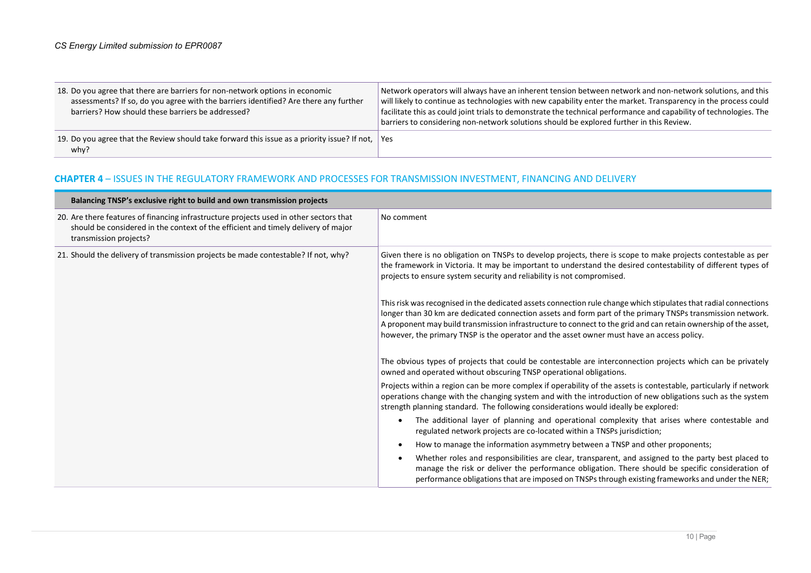| 18. Do you agree that there are barriers for non-network options in economic<br>assessments? If so, do you agree with the barriers identified? Are there any further<br>barriers? How should these barriers be addressed? | Network operators will always have an inherent tension between network and non-network solutions, and this<br>will likely to continue as technologies with new capability enter the market. Transparency in the process could<br>facilitate this as could joint trials to demonstrate the technical performance and capability of technologies. The<br>barriers to considering non-network solutions should be explored further in this Review. |
|---------------------------------------------------------------------------------------------------------------------------------------------------------------------------------------------------------------------------|-------------------------------------------------------------------------------------------------------------------------------------------------------------------------------------------------------------------------------------------------------------------------------------------------------------------------------------------------------------------------------------------------------------------------------------------------|
| 19. Do you agree that the Review should take forward this issue as a priority issue? If not, Yes<br>why?                                                                                                                  |                                                                                                                                                                                                                                                                                                                                                                                                                                                 |

## CHAPTER 4 – ISSUES IN THE REGULATORY FRAMEWORK AND PROCESSES FOR TRANSMISSION INVESTMENT, FINANCING AND DELIVERY

| Balancing TNSP's exclusive right to build and own transmission projects                                                                                                                               |                                                                                                                                                                                                                                                                                                                                                                                                                                                |
|-------------------------------------------------------------------------------------------------------------------------------------------------------------------------------------------------------|------------------------------------------------------------------------------------------------------------------------------------------------------------------------------------------------------------------------------------------------------------------------------------------------------------------------------------------------------------------------------------------------------------------------------------------------|
| 20. Are there features of financing infrastructure projects used in other sectors that<br>should be considered in the context of the efficient and timely delivery of major<br>transmission projects? | No comment                                                                                                                                                                                                                                                                                                                                                                                                                                     |
| 21. Should the delivery of transmission projects be made contestable? If not, why?                                                                                                                    | Given there is no obligation on TNSPs to develop projects, there is scope to make projects contestable as per<br>the framework in Victoria. It may be important to understand the desired contestability of different types of<br>projects to ensure system security and reliability is not compromised.                                                                                                                                       |
|                                                                                                                                                                                                       | This risk was recognised in the dedicated assets connection rule change which stipulates that radial connections<br>longer than 30 km are dedicated connection assets and form part of the primary TNSPs transmission network.<br>A proponent may build transmission infrastructure to connect to the grid and can retain ownership of the asset,<br>however, the primary TNSP is the operator and the asset owner must have an access policy. |
|                                                                                                                                                                                                       | The obvious types of projects that could be contestable are interconnection projects which can be privately<br>owned and operated without obscuring TNSP operational obligations.                                                                                                                                                                                                                                                              |
|                                                                                                                                                                                                       | Projects within a region can be more complex if operability of the assets is contestable, particularly if network<br>operations change with the changing system and with the introduction of new obligations such as the system<br>strength planning standard. The following considerations would ideally be explored:                                                                                                                         |
|                                                                                                                                                                                                       | The additional layer of planning and operational complexity that arises where contestable and<br>regulated network projects are co-located within a TNSPs jurisdiction;                                                                                                                                                                                                                                                                        |
|                                                                                                                                                                                                       | How to manage the information asymmetry between a TNSP and other proponents;                                                                                                                                                                                                                                                                                                                                                                   |
|                                                                                                                                                                                                       | Whether roles and responsibilities are clear, transparent, and assigned to the party best placed to<br>manage the risk or deliver the performance obligation. There should be specific consideration of<br>performance obligations that are imposed on TNSPs through existing frameworks and under the NER;                                                                                                                                    |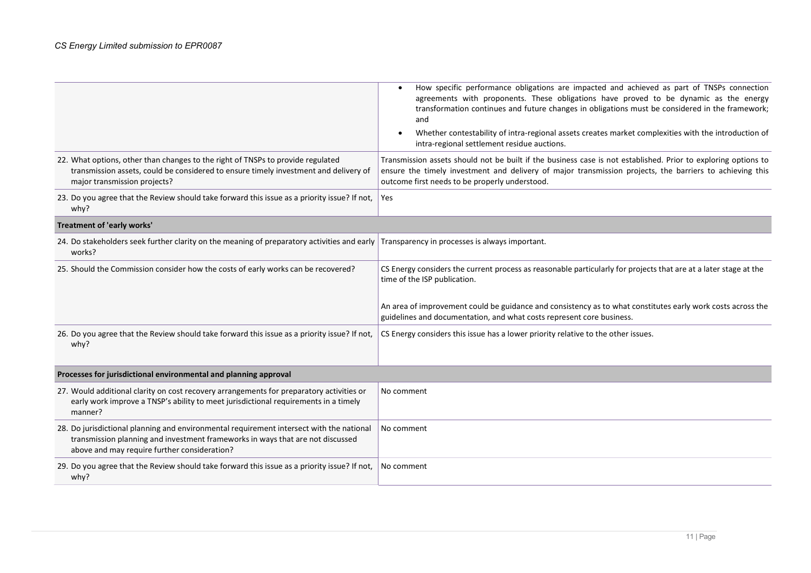|                                                                                                                                                                                                                            | How specific performance obligations are impacted and achieved as part of TNSPs connection<br>agreements with proponents. These obligations have proved to be dynamic as the energy<br>transformation continues and future changes in obligations must be considered in the framework;<br>and<br>Whether contestability of intra-regional assets creates market complexities with the introduction of<br>intra-regional settlement residue auctions. |
|----------------------------------------------------------------------------------------------------------------------------------------------------------------------------------------------------------------------------|------------------------------------------------------------------------------------------------------------------------------------------------------------------------------------------------------------------------------------------------------------------------------------------------------------------------------------------------------------------------------------------------------------------------------------------------------|
| 22. What options, other than changes to the right of TNSPs to provide regulated<br>transmission assets, could be considered to ensure timely investment and delivery of<br>major transmission projects?                    | Transmission assets should not be built if the business case is not established. Prior to exploring options to<br>ensure the timely investment and delivery of major transmission projects, the barriers to achieving this<br>outcome first needs to be properly understood.                                                                                                                                                                         |
| 23. Do you agree that the Review should take forward this issue as a priority issue? If not,<br>why?                                                                                                                       | Yes                                                                                                                                                                                                                                                                                                                                                                                                                                                  |
| Treatment of 'early works'                                                                                                                                                                                                 |                                                                                                                                                                                                                                                                                                                                                                                                                                                      |
| 24. Do stakeholders seek further clarity on the meaning of preparatory activities and early Transparency in processes is always important.<br>works?                                                                       |                                                                                                                                                                                                                                                                                                                                                                                                                                                      |
| 25. Should the Commission consider how the costs of early works can be recovered?                                                                                                                                          | CS Energy considers the current process as reasonable particularly for projects that are at a later stage at the<br>time of the ISP publication.<br>An area of improvement could be guidance and consistency as to what constitutes early work costs across the<br>guidelines and documentation, and what costs represent core business.                                                                                                             |
| 26. Do you agree that the Review should take forward this issue as a priority issue? If not,<br>why?                                                                                                                       | CS Energy considers this issue has a lower priority relative to the other issues.                                                                                                                                                                                                                                                                                                                                                                    |
| Processes for jurisdictional environmental and planning approval                                                                                                                                                           |                                                                                                                                                                                                                                                                                                                                                                                                                                                      |
| 27. Would additional clarity on cost recovery arrangements for preparatory activities or<br>early work improve a TNSP's ability to meet jurisdictional requirements in a timely<br>manner?                                 | No comment                                                                                                                                                                                                                                                                                                                                                                                                                                           |
| 28. Do jurisdictional planning and environmental requirement intersect with the national<br>transmission planning and investment frameworks in ways that are not discussed<br>above and may require further consideration? | No comment                                                                                                                                                                                                                                                                                                                                                                                                                                           |
| 29. Do you agree that the Review should take forward this issue as a priority issue? If not,<br>why?                                                                                                                       | No comment                                                                                                                                                                                                                                                                                                                                                                                                                                           |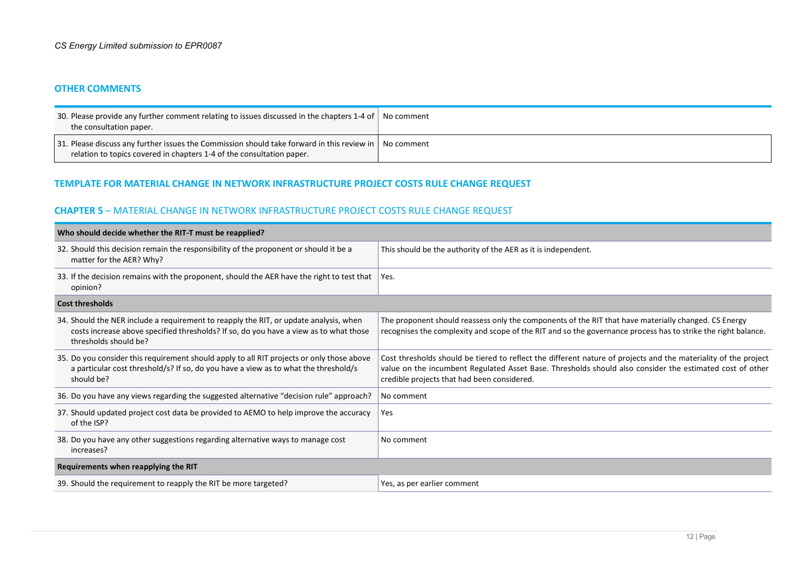#### OTHER COMMENTS

| 30. Please provide any further comment relating to issues discussed in the chapters 1-4 of No comment<br>the consultation paper.                                                       |  |
|----------------------------------------------------------------------------------------------------------------------------------------------------------------------------------------|--|
| 31. Please discuss any further issues the Commission should take forward in this review in $\vert$ No comment<br>relation to topics covered in chapters 1-4 of the consultation paper. |  |

### TEMPLATE FOR MATERIAL CHANGE IN NETWORK INFRASTRUCTURE PROJECT COSTS RULE CHANGE REQUEST

#### CHAPTER 5 – MATERIAL CHANGE IN NETWORK INFRASTRUCTURE PROJECT COSTS RULE CHANGE REQUEST

| Who should decide whether the RIT-T must be reapplied?                                                                                                                                                  |                                                                                                                                                                                                                                                                            |  |
|---------------------------------------------------------------------------------------------------------------------------------------------------------------------------------------------------------|----------------------------------------------------------------------------------------------------------------------------------------------------------------------------------------------------------------------------------------------------------------------------|--|
| 32. Should this decision remain the responsibility of the proponent or should it be a<br>matter for the AER? Why?                                                                                       | This should be the authority of the AER as it is independent.                                                                                                                                                                                                              |  |
| 33. If the decision remains with the proponent, should the AER have the right to test that<br>opinion?                                                                                                  | Yes.                                                                                                                                                                                                                                                                       |  |
| <b>Cost thresholds</b>                                                                                                                                                                                  |                                                                                                                                                                                                                                                                            |  |
| 34. Should the NER include a requirement to reapply the RIT, or update analysis, when<br>costs increase above specified thresholds? If so, do you have a view as to what those<br>thresholds should be? | The proponent should reassess only the components of the RIT that have materially changed. CS Energy<br>recognises the complexity and scope of the RIT and so the governance process has to strike the right balance.                                                      |  |
| 35. Do you consider this requirement should apply to all RIT projects or only those above<br>a particular cost threshold/s? If so, do you have a view as to what the threshold/s<br>should be?          | Cost thresholds should be tiered to reflect the different nature of projects and the materiality of the project<br>value on the incumbent Regulated Asset Base. Thresholds should also consider the estimated cost of other<br>credible projects that had been considered. |  |
| 36. Do you have any views regarding the suggested alternative "decision rule" approach?                                                                                                                 | No comment                                                                                                                                                                                                                                                                 |  |
| 37. Should updated project cost data be provided to AEMO to help improve the accuracy<br>of the ISP?                                                                                                    | Yes                                                                                                                                                                                                                                                                        |  |
| 38. Do you have any other suggestions regarding alternative ways to manage cost<br>increases?                                                                                                           | No comment                                                                                                                                                                                                                                                                 |  |
| Requirements when reapplying the RIT                                                                                                                                                                    |                                                                                                                                                                                                                                                                            |  |
| 39. Should the requirement to reapply the RIT be more targeted?                                                                                                                                         | Yes, as per earlier comment                                                                                                                                                                                                                                                |  |